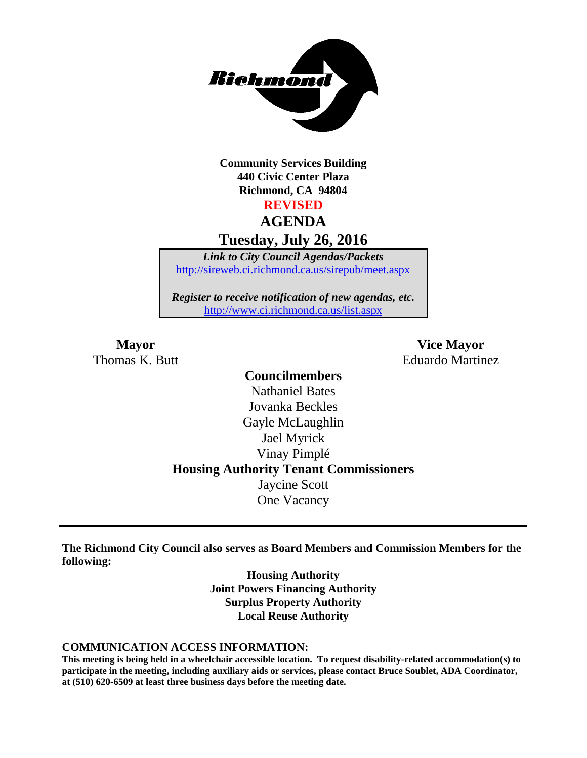

**Community Services Building 440 Civic Center Plaza Richmond, CA 94804 REVISED**

# **AGENDA**

**Tuesday, July 26, 2016**

*Link to City Council Agendas/Packets* <http://sireweb.ci.richmond.ca.us/sirepub/meet.aspx>

*Register to receive notification of new agendas, etc.* <http://www.ci.richmond.ca.us/list.aspx>

**Mayor Vice Mayor** Thomas K. Butt **Eduardo Martinez** 

# **Councilmembers** Nathaniel Bates Jovanka Beckles Gayle McLaughlin Jael Myrick Vinay Pimplé **Housing Authority Tenant Commissioners** Jaycine Scott One Vacancy

**The Richmond City Council also serves as Board Members and Commission Members for the following:**

> **Housing Authority Joint Powers Financing Authority Surplus Property Authority Local Reuse Authority**

#### **COMMUNICATION ACCESS INFORMATION:**

**This meeting is being held in a wheelchair accessible location. To request disability-related accommodation(s) to participate in the meeting, including auxiliary aids or services, please contact Bruce Soublet, ADA Coordinator, at (510) 620-6509 at least three business days before the meeting date.**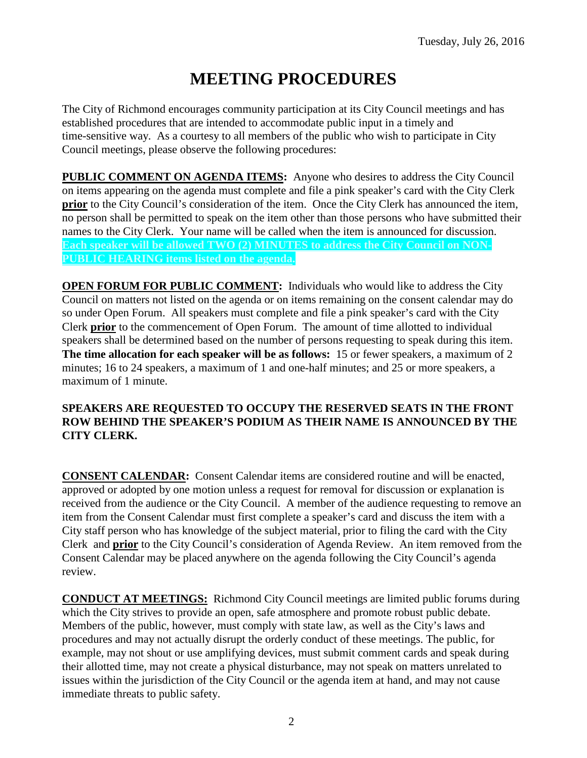# **MEETING PROCEDURES**

The City of Richmond encourages community participation at its City Council meetings and has established procedures that are intended to accommodate public input in a timely and time-sensitive way. As a courtesy to all members of the public who wish to participate in City Council meetings, please observe the following procedures:

**PUBLIC COMMENT ON AGENDA ITEMS:** Anyone who desires to address the City Council on items appearing on the agenda must complete and file a pink speaker's card with the City Clerk **prior** to the City Council's consideration of the item. Once the City Clerk has announced the item, no person shall be permitted to speak on the item other than those persons who have submitted their names to the City Clerk. Your name will be called when the item is announced for discussion. **Each speaker will be allowed TWO (2) MINUTES to address the City Council on NON-PUBLIC HEARING items listed on the agenda.**

**OPEN FORUM FOR PUBLIC COMMENT:** Individuals who would like to address the City Council on matters not listed on the agenda or on items remaining on the consent calendar may do so under Open Forum. All speakers must complete and file a pink speaker's card with the City Clerk **prior** to the commencement of Open Forum. The amount of time allotted to individual speakers shall be determined based on the number of persons requesting to speak during this item. **The time allocation for each speaker will be as follows:** 15 or fewer speakers, a maximum of 2 minutes; 16 to 24 speakers, a maximum of 1 and one-half minutes; and 25 or more speakers, a maximum of 1 minute.

### **SPEAKERS ARE REQUESTED TO OCCUPY THE RESERVED SEATS IN THE FRONT ROW BEHIND THE SPEAKER'S PODIUM AS THEIR NAME IS ANNOUNCED BY THE CITY CLERK.**

**CONSENT CALENDAR:** Consent Calendar items are considered routine and will be enacted, approved or adopted by one motion unless a request for removal for discussion or explanation is received from the audience or the City Council. A member of the audience requesting to remove an item from the Consent Calendar must first complete a speaker's card and discuss the item with a City staff person who has knowledge of the subject material, prior to filing the card with the City Clerk and **prior** to the City Council's consideration of Agenda Review. An item removed from the Consent Calendar may be placed anywhere on the agenda following the City Council's agenda review.

**CONDUCT AT MEETINGS:** Richmond City Council meetings are limited public forums during which the City strives to provide an open, safe atmosphere and promote robust public debate. Members of the public, however, must comply with state law, as well as the City's laws and procedures and may not actually disrupt the orderly conduct of these meetings. The public, for example, may not shout or use amplifying devices, must submit comment cards and speak during their allotted time, may not create a physical disturbance, may not speak on matters unrelated to issues within the jurisdiction of the City Council or the agenda item at hand, and may not cause immediate threats to public safety.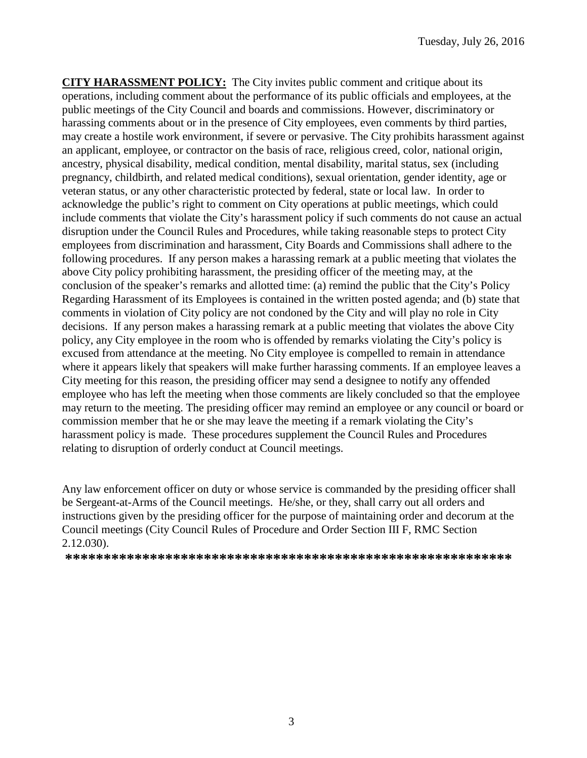**CITY HARASSMENT POLICY:** The City invites public comment and critique about its operations, including comment about the performance of its public officials and employees, at the public meetings of the City Council and boards and commissions. However, discriminatory or harassing comments about or in the presence of City employees, even comments by third parties, may create a hostile work environment, if severe or pervasive. The City prohibits harassment against an applicant, employee, or contractor on the basis of race, religious creed, color, national origin, ancestry, physical disability, medical condition, mental disability, marital status, sex (including pregnancy, childbirth, and related medical conditions), sexual orientation, gender identity, age or veteran status, or any other characteristic protected by federal, state or local law. In order to acknowledge the public's right to comment on City operations at public meetings, which could include comments that violate the City's harassment policy if such comments do not cause an actual disruption under the Council Rules and Procedures, while taking reasonable steps to protect City employees from discrimination and harassment, City Boards and Commissions shall adhere to the following procedures. If any person makes a harassing remark at a public meeting that violates the above City policy prohibiting harassment, the presiding officer of the meeting may, at the conclusion of the speaker's remarks and allotted time: (a) remind the public that the City's Policy Regarding Harassment of its Employees is contained in the written posted agenda; and (b) state that comments in violation of City policy are not condoned by the City and will play no role in City decisions. If any person makes a harassing remark at a public meeting that violates the above City policy, any City employee in the room who is offended by remarks violating the City's policy is excused from attendance at the meeting. No City employee is compelled to remain in attendance where it appears likely that speakers will make further harassing comments. If an employee leaves a City meeting for this reason, the presiding officer may send a designee to notify any offended employee who has left the meeting when those comments are likely concluded so that the employee may return to the meeting. The presiding officer may remind an employee or any council or board or commission member that he or she may leave the meeting if a remark violating the City's harassment policy is made. These procedures supplement the Council Rules and Procedures relating to disruption of orderly conduct at Council meetings.

Any law enforcement officer on duty or whose service is commanded by the presiding officer shall be Sergeant-at-Arms of the Council meetings. He/she, or they, shall carry out all orders and instructions given by the presiding officer for the purpose of maintaining order and decorum at the Council meetings (City Council Rules of Procedure and Order Section III F, RMC Section 2.12.030).

**\*\*\*\*\*\*\*\*\*\*\*\*\*\*\*\*\*\*\*\*\*\*\*\*\*\*\*\*\*\*\*\*\*\*\*\*\*\*\*\*\*\*\*\*\*\*\*\*\*\*\*\*\*\*\*\*\*\***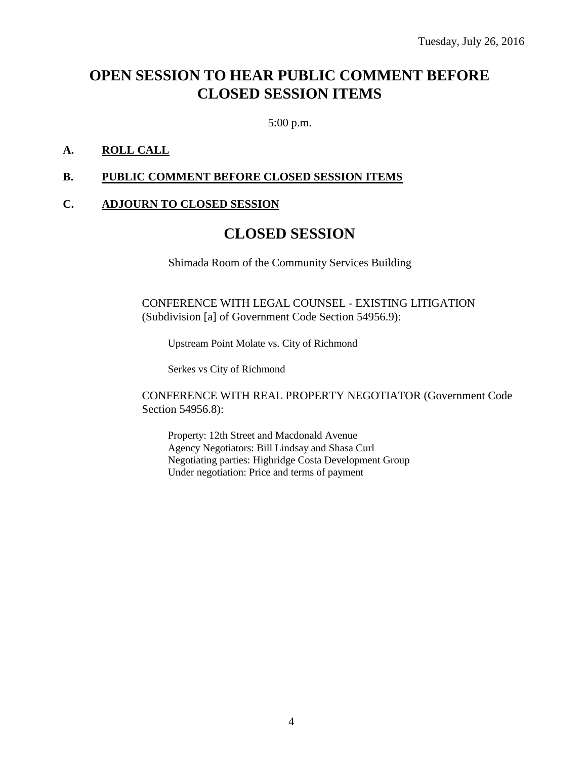# **OPEN SESSION TO HEAR PUBLIC COMMENT BEFORE CLOSED SESSION ITEMS**

5:00 p.m.

### **A. ROLL CALL**

### **B. PUBLIC COMMENT BEFORE CLOSED SESSION ITEMS**

### **C. ADJOURN TO CLOSED SESSION**

# **CLOSED SESSION**

Shimada Room of the Community Services Building

CONFERENCE WITH LEGAL COUNSEL - EXISTING LITIGATION (Subdivision [a] of Government Code Section 54956.9):

Upstream Point Molate vs. City of Richmond

Serkes vs City of Richmond

CONFERENCE WITH REAL PROPERTY NEGOTIATOR (Government Code Section 54956.8):

Property: 12th Street and Macdonald Avenue Agency Negotiators: Bill Lindsay and Shasa Curl Negotiating parties: Highridge Costa Development Group Under negotiation: Price and terms of payment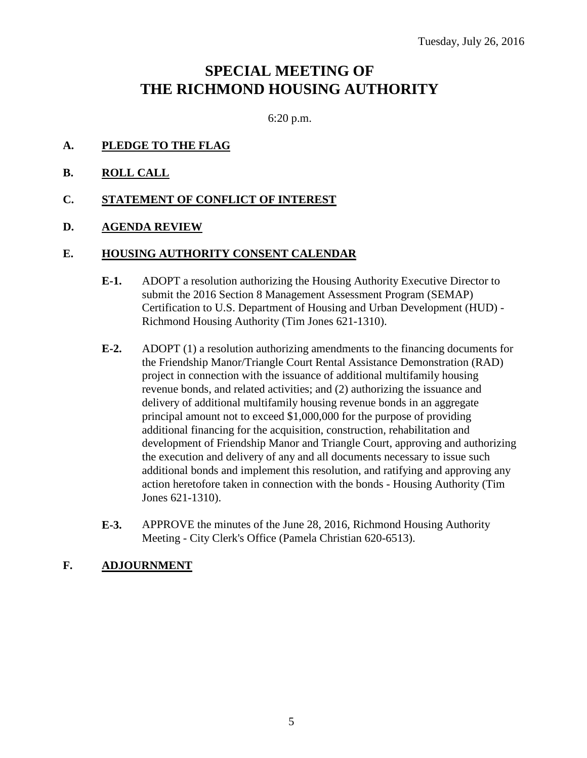# **SPECIAL MEETING OF THE RICHMOND HOUSING AUTHORITY**

6:20 p.m.

- **A. PLEDGE TO THE FLAG**
- **B. ROLL CALL**
- **C. STATEMENT OF CONFLICT OF INTEREST**
- **D. AGENDA REVIEW**

#### **E. HOUSING AUTHORITY CONSENT CALENDAR**

- **E-1.** ADOPT a resolution authorizing the Housing Authority Executive Director to submit the 2016 Section 8 Management Assessment Program (SEMAP) Certification to U.S. Department of Housing and Urban Development (HUD) - Richmond Housing Authority (Tim Jones 621-1310).
- **E-2.** ADOPT (1) a resolution authorizing amendments to the financing documents for the Friendship Manor/Triangle Court Rental Assistance Demonstration (RAD) project in connection with the issuance of additional multifamily housing revenue bonds, and related activities; and (2) authorizing the issuance and delivery of additional multifamily housing revenue bonds in an aggregate principal amount not to exceed \$1,000,000 for the purpose of providing additional financing for the acquisition, construction, rehabilitation and development of Friendship Manor and Triangle Court, approving and authorizing the execution and delivery of any and all documents necessary to issue such additional bonds and implement this resolution, and ratifying and approving any action heretofore taken in connection with the bonds - Housing Authority (Tim Jones 621-1310).
- **E-3.** APPROVE the minutes of the June 28, 2016, Richmond Housing Authority Meeting - City Clerk's Office (Pamela Christian 620-6513).

### **F. ADJOURNMENT**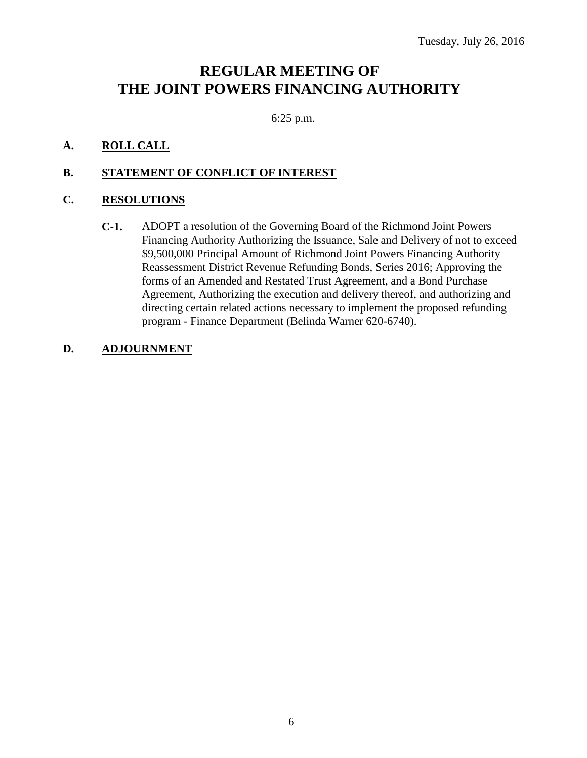# **REGULAR MEETING OF THE JOINT POWERS FINANCING AUTHORITY**

6:25 p.m.

# **A. ROLL CALL**

### **B. STATEMENT OF CONFLICT OF INTEREST**

### **C. RESOLUTIONS**

**C-1.** ADOPT a resolution of the Governing Board of the Richmond Joint Powers Financing Authority Authorizing the Issuance, Sale and Delivery of not to exceed \$9,500,000 Principal Amount of Richmond Joint Powers Financing Authority Reassessment District Revenue Refunding Bonds, Series 2016; Approving the forms of an Amended and Restated Trust Agreement, and a Bond Purchase Agreement, Authorizing the execution and delivery thereof, and authorizing and directing certain related actions necessary to implement the proposed refunding program - Finance Department (Belinda Warner 620-6740).

### **D. ADJOURNMENT**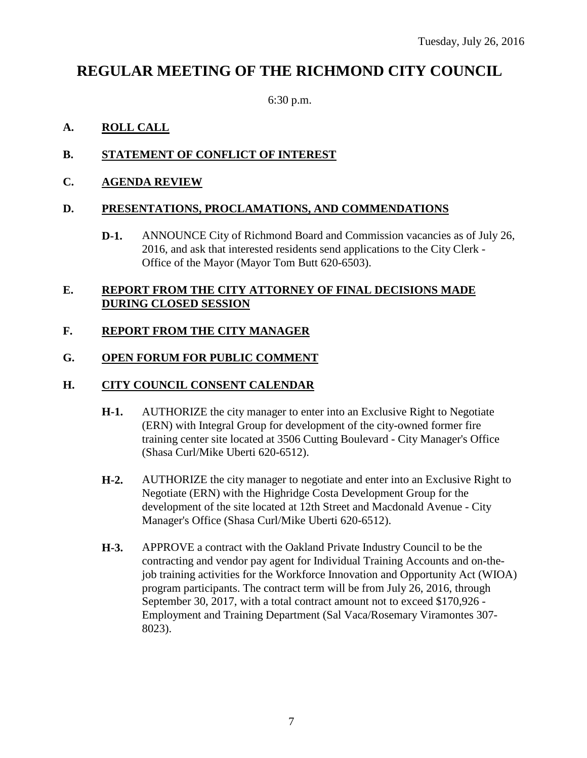# **REGULAR MEETING OF THE RICHMOND CITY COUNCIL**

6:30 p.m.

# **A. ROLL CALL**

# **B. STATEMENT OF CONFLICT OF INTEREST**

# **C. AGENDA REVIEW**

### **D. PRESENTATIONS, PROCLAMATIONS, AND COMMENDATIONS**

**D-1.** ANNOUNCE City of Richmond Board and Commission vacancies as of July 26, 2016, and ask that interested residents send applications to the City Clerk - Office of the Mayor (Mayor Tom Butt 620-6503).

### **E. REPORT FROM THE CITY ATTORNEY OF FINAL DECISIONS MADE DURING CLOSED SESSION**

# **F. REPORT FROM THE CITY MANAGER**

### **G. OPEN FORUM FOR PUBLIC COMMENT**

### **H. CITY COUNCIL CONSENT CALENDAR**

- **H-1.** AUTHORIZE the city manager to enter into an Exclusive Right to Negotiate (ERN) with Integral Group for development of the city-owned former fire training center site located at 3506 Cutting Boulevard - City Manager's Office (Shasa Curl/Mike Uberti 620-6512).
- **H-2.** AUTHORIZE the city manager to negotiate and enter into an Exclusive Right to Negotiate (ERN) with the Highridge Costa Development Group for the development of the site located at 12th Street and Macdonald Avenue - City Manager's Office (Shasa Curl/Mike Uberti 620-6512).
- **H-3.** APPROVE a contract with the Oakland Private Industry Council to be the contracting and vendor pay agent for Individual Training Accounts and on-thejob training activities for the Workforce Innovation and Opportunity Act (WIOA) program participants. The contract term will be from July 26, 2016, through September 30, 2017, with a total contract amount not to exceed \$170,926 - Employment and Training Department (Sal Vaca/Rosemary Viramontes 307- 8023).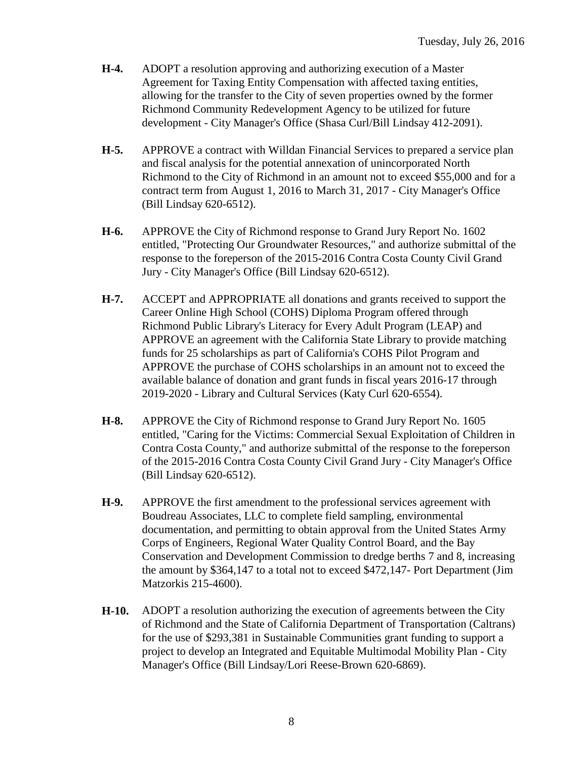- **H-4.** ADOPT a resolution approving and authorizing execution of a Master Agreement for Taxing Entity Compensation with affected taxing entities, allowing for the transfer to the City of seven properties owned by the former Richmond Community Redevelopment Agency to be utilized for future development - City Manager's Office (Shasa Curl/Bill Lindsay 412-2091).
- **H-5.** APPROVE a contract with Willdan Financial Services to prepared a service plan and fiscal analysis for the potential annexation of unincorporated North Richmond to the City of Richmond in an amount not to exceed \$55,000 and for a contract term from August 1, 2016 to March 31, 2017 - City Manager's Office (Bill Lindsay 620-6512).
- **H-6.** APPROVE the City of Richmond response to Grand Jury Report No. 1602 entitled, "Protecting Our Groundwater Resources," and authorize submittal of the response to the foreperson of the 2015-2016 Contra Costa County Civil Grand Jury - City Manager's Office (Bill Lindsay 620-6512).
- **H-7.** ACCEPT and APPROPRIATE all donations and grants received to support the Career Online High School (COHS) Diploma Program offered through Richmond Public Library's Literacy for Every Adult Program (LEAP) and APPROVE an agreement with the California State Library to provide matching funds for 25 scholarships as part of California's COHS Pilot Program and APPROVE the purchase of COHS scholarships in an amount not to exceed the available balance of donation and grant funds in fiscal years 2016-17 through 2019-2020 - Library and Cultural Services (Katy Curl 620-6554).
- **H-8.** APPROVE the City of Richmond response to Grand Jury Report No. 1605 entitled, "Caring for the Victims: Commercial Sexual Exploitation of Children in Contra Costa County," and authorize submittal of the response to the foreperson of the 2015-2016 Contra Costa County Civil Grand Jury - City Manager's Office (Bill Lindsay 620-6512).
- **H-9.** APPROVE the first amendment to the professional services agreement with Boudreau Associates, LLC to complete field sampling, environmental documentation, and permitting to obtain approval from the United States Army Corps of Engineers, Regional Water Quality Control Board, and the Bay Conservation and Development Commission to dredge berths 7 and 8, increasing the amount by \$364,147 to a total not to exceed \$472,147- Port Department (Jim Matzorkis 215-4600).
- **H-10.** ADOPT a resolution authorizing the execution of agreements between the City of Richmond and the State of California Department of Transportation (Caltrans) for the use of \$293,381 in Sustainable Communities grant funding to support a project to develop an Integrated and Equitable Multimodal Mobility Plan - City Manager's Office (Bill Lindsay/Lori Reese-Brown 620-6869).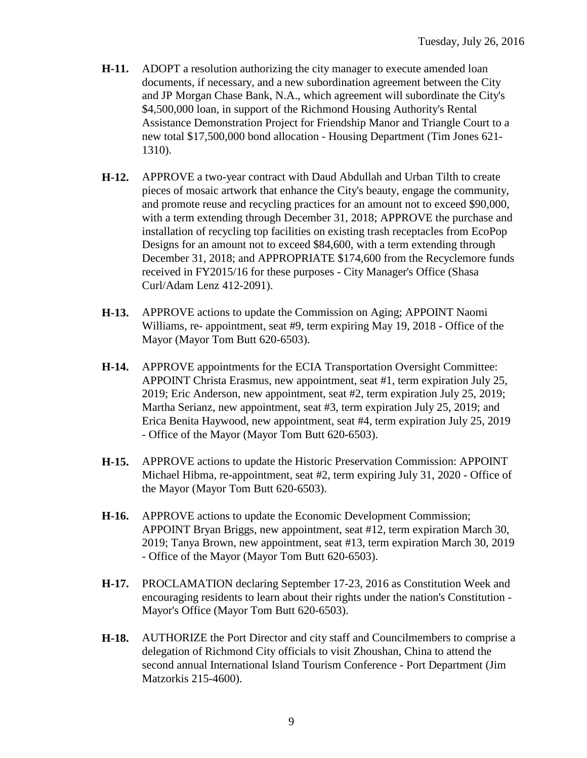- **H-11.** ADOPT a resolution authorizing the city manager to execute amended loan documents, if necessary, and a new subordination agreement between the City and JP Morgan Chase Bank, N.A., which agreement will subordinate the City's \$4,500,000 loan, in support of the Richmond Housing Authority's Rental Assistance Demonstration Project for Friendship Manor and Triangle Court to a new total \$17,500,000 bond allocation - Housing Department (Tim Jones 621- 1310).
- **H-12.** APPROVE a two-year contract with Daud Abdullah and Urban Tilth to create pieces of mosaic artwork that enhance the City's beauty, engage the community, and promote reuse and recycling practices for an amount not to exceed \$90,000, with a term extending through December 31, 2018; APPROVE the purchase and installation of recycling top facilities on existing trash receptacles from EcoPop Designs for an amount not to exceed \$84,600, with a term extending through December 31, 2018; and APPROPRIATE \$174,600 from the Recyclemore funds received in FY2015/16 for these purposes - City Manager's Office (Shasa Curl/Adam Lenz 412-2091).
- **H-13.** APPROVE actions to update the Commission on Aging; APPOINT Naomi Williams, re- appointment, seat #9, term expiring May 19, 2018 - Office of the Mayor (Mayor Tom Butt 620-6503).
- **H-14.** APPROVE appointments for the ECIA Transportation Oversight Committee: APPOINT Christa Erasmus, new appointment, seat #1, term expiration July 25, 2019; Eric Anderson, new appointment, seat #2, term expiration July 25, 2019; Martha Serianz, new appointment, seat #3, term expiration July 25, 2019; and Erica Benita Haywood, new appointment, seat #4, term expiration July 25, 2019 - Office of the Mayor (Mayor Tom Butt 620-6503).
- **H-15.** APPROVE actions to update the Historic Preservation Commission: APPOINT Michael Hibma, re-appointment, seat #2, term expiring July 31, 2020 - Office of the Mayor (Mayor Tom Butt 620-6503).
- **H-16.** APPROVE actions to update the Economic Development Commission; APPOINT Bryan Briggs, new appointment, seat #12, term expiration March 30, 2019; Tanya Brown, new appointment, seat #13, term expiration March 30, 2019 - Office of the Mayor (Mayor Tom Butt 620-6503).
- **H-17.** PROCLAMATION declaring September 17-23, 2016 as Constitution Week and encouraging residents to learn about their rights under the nation's Constitution - Mayor's Office (Mayor Tom Butt 620-6503).
- **H-18.** AUTHORIZE the Port Director and city staff and Councilmembers to comprise a delegation of Richmond City officials to visit Zhoushan, China to attend the second annual International Island Tourism Conference - Port Department (Jim Matzorkis 215-4600).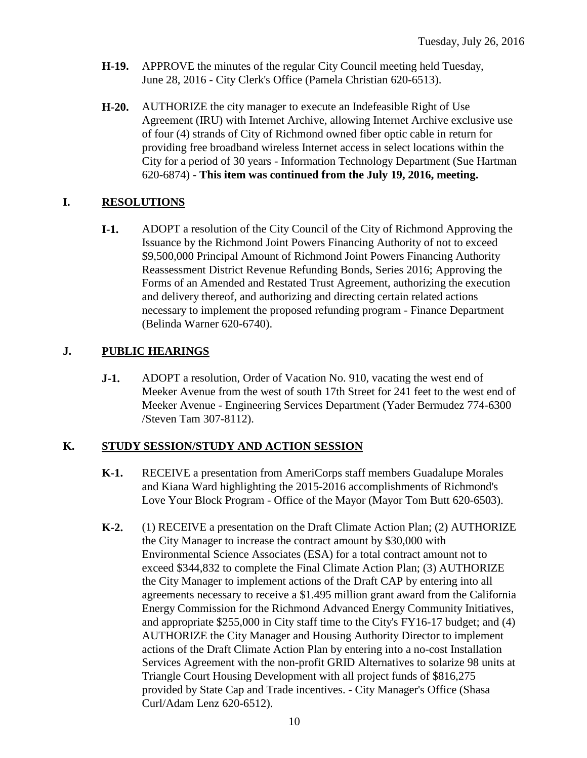- **H-19.** APPROVE the minutes of the regular City Council meeting held Tuesday, June 28, 2016 - City Clerk's Office (Pamela Christian 620-6513).
- **H-20.** AUTHORIZE the city manager to execute an Indefeasible Right of Use Agreement (IRU) with Internet Archive, allowing Internet Archive exclusive use of four (4) strands of City of Richmond owned fiber optic cable in return for providing free broadband wireless Internet access in select locations within the City for a period of 30 years - Information Technology Department (Sue Hartman 620-6874) - **This item was continued from the July 19, 2016, meeting.**

### **I. RESOLUTIONS**

**I-1.** ADOPT a resolution of the City Council of the City of Richmond Approving the Issuance by the Richmond Joint Powers Financing Authority of not to exceed \$9,500,000 Principal Amount of Richmond Joint Powers Financing Authority Reassessment District Revenue Refunding Bonds, Series 2016; Approving the Forms of an Amended and Restated Trust Agreement, authorizing the execution and delivery thereof, and authorizing and directing certain related actions necessary to implement the proposed refunding program - Finance Department (Belinda Warner 620-6740).

### **J. PUBLIC HEARINGS**

**J-1.** ADOPT a resolution, Order of Vacation No. 910, vacating the west end of Meeker Avenue from the west of south 17th Street for 241 feet to the west end of Meeker Avenue - Engineering Services Department (Yader Bermudez 774-6300 /Steven Tam 307-8112).

### **K. STUDY SESSION/STUDY AND ACTION SESSION**

- **K-1.** RECEIVE a presentation from AmeriCorps staff members Guadalupe Morales and Kiana Ward highlighting the 2015-2016 accomplishments of Richmond's Love Your Block Program - Office of the Mayor (Mayor Tom Butt 620-6503).
- **K-2.** (1) RECEIVE a presentation on the Draft Climate Action Plan; (2) AUTHORIZE the City Manager to increase the contract amount by \$30,000 with Environmental Science Associates (ESA) for a total contract amount not to exceed \$344,832 to complete the Final Climate Action Plan; (3) AUTHORIZE the City Manager to implement actions of the Draft CAP by entering into all agreements necessary to receive a \$1.495 million grant award from the California Energy Commission for the Richmond Advanced Energy Community Initiatives, and appropriate \$255,000 in City staff time to the City's FY16-17 budget; and (4) AUTHORIZE the City Manager and Housing Authority Director to implement actions of the Draft Climate Action Plan by entering into a no-cost Installation Services Agreement with the non-profit GRID Alternatives to solarize 98 units at Triangle Court Housing Development with all project funds of \$816,275 provided by State Cap and Trade incentives. - City Manager's Office (Shasa Curl/Adam Lenz 620-6512).